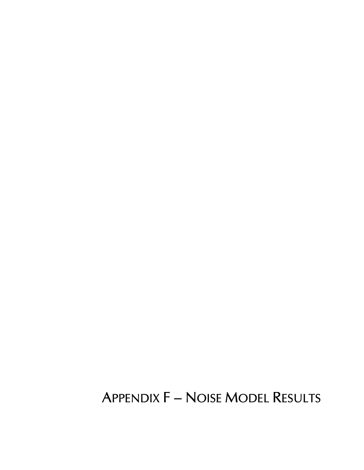# **APPENDIX F - NOISE MODEL RESULTS**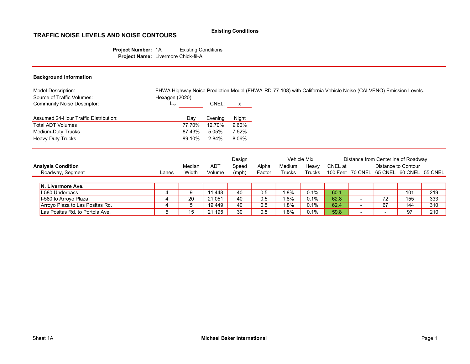#### Existing Conditions

### TRAFFIC NOISE LEVELS AND NOISE CONTOURS

Project Number: 1A Existing Conditions Project Name: Livermore Chick-fil-A

| Hexagon (2020)<br>$L_{dn}$ :<br>Dav | CNEL:   | X     |
|-------------------------------------|---------|-------|
|                                     |         |       |
|                                     | Evening | Night |
| 77.70%                              | 12.70%  | 9.60% |
| 87.43%                              | 5.05%   | 7.52% |
| 89.10%                              | 2.84%   | 8.06% |
|                                     |         |       |

|                                 |       |        |        | Design |        |        | Vehicle Mix |         |                          |                          | Distance from Centerline of Roadway      |     |
|---------------------------------|-------|--------|--------|--------|--------|--------|-------------|---------|--------------------------|--------------------------|------------------------------------------|-----|
| <b>Analysis Condition</b>       |       | Median | ADT    | Speed  | Alpha  | Medium | Heavy       | CNEL at |                          |                          | Distance to Contour                      |     |
| Roadway, Segment                | Lanes | Width  | Volume | (mph)  | Factor | Trucks | Trucks      |         |                          |                          | 100 Feet 70 CNEL 65 CNEL 60 CNEL 55 CNEL |     |
|                                 |       |        |        |        |        |        |             |         |                          |                          |                                          |     |
| <b>N. Livermore Ave.</b>        |       |        |        |        |        |        |             |         |                          |                          |                                          |     |
| I-580 Underpass                 |       | 9      | 11.448 | 40     | 0.5    | $.8\%$ | 0.1%        | 60.1    |                          | -                        | 101                                      | 219 |
| I-580 to Arroyo Plaza           |       | 20     | 21.051 | 40     | 0.5    | $.8\%$ | 0.1%        | 62.8    | -                        | 72                       | 155                                      | 333 |
| Arroyo Plaza to Las Positas Rd. |       | 5      | 19.449 | 40     | 0.5    | .8%    | 0.1%        | 62.4    | -                        | 67                       | 144                                      | 310 |
| Las Positas Rd. to Portola Ave. |       | 15     | 21.195 | 30     | 0.5    | .8%    | 0.1%        | 59.8    | $\overline{\phantom{a}}$ | $\overline{\phantom{0}}$ | 97                                       | 210 |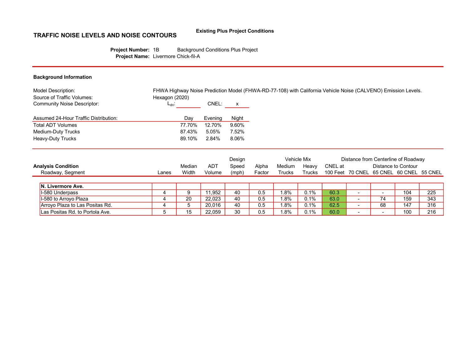#### Existing Plus Project Conditions

# TRAFFIC NOISE LEVELS AND NOISE CONTOURS

Project Number: 1B Background Conditions Plus Project Project Name: Livermore Chick-fil-A

| <b>Model Description:</b>                                 |                              |         |              |             | FHWA Highway Noise Prediction Model (FHWA-RD-77-108) with California Vehicle Noise (CALVENO) Emission Levels. |
|-----------------------------------------------------------|------------------------------|---------|--------------|-------------|---------------------------------------------------------------------------------------------------------------|
| Source of Traffic Volumes:<br>Community Noise Descriptor: | Hexagon (2020)<br>$L_{dn}$ : | CNEL:   | $\mathsf{x}$ |             |                                                                                                               |
| Assumed 24-Hour Traffic Distribution:                     | Dav                          | Evening | Night        |             |                                                                                                               |
| Total ADT Volumes                                         | 77.70%                       | 12.70%  | 9.60%        |             |                                                                                                               |
| Medium-Duty Trucks                                        | 87.43%                       | 5.05%   | 7.52%        |             |                                                                                                               |
| Heavy-Duty Trucks                                         | 89.10%                       | 2.84%   | 8.06%        |             |                                                                                                               |
|                                                           |                              |         | Design       | Vehicle Mix | Distance from Centerline of Roadway                                                                           |

| <b>Analysis Condition</b>       |       | Median | <b>ADT</b> | Speed | Alpha  | Medium        | Heavv         | CNEL at |                          |        | Distance to Contour                      |     |
|---------------------------------|-------|--------|------------|-------|--------|---------------|---------------|---------|--------------------------|--------|------------------------------------------|-----|
| Roadway, Segment                | Lanes | Width  | Volume     | (mph) | Factor | <b>Trucks</b> | <b>Trucks</b> |         |                          |        | 100 Feet 70 CNEL 65 CNEL 60 CNEL 55 CNEL |     |
|                                 |       |        |            |       |        |               |               |         |                          |        |                                          |     |
| <b>N. Livermore Ave.</b>        |       |        |            |       |        |               |               |         |                          |        |                                          |     |
| I-580 Underpass                 |       |        | 11.952     | 40    | 0.5    | $.8\%$        | 0.1%          | 60.3    | $\overline{\phantom{0}}$ |        | 104                                      | 225 |
| 1-580 to Arroyo Plaza           |       | 20     | 22.023     | 40    | 0.5    | .8%           | 0.1%          | 63.0    |                          | 74     | 159                                      | 343 |
| Arroyo Plaza to Las Positas Rd. |       |        | 20.016     | 40    | 0.5    | $.8\%$        | 0.1%          | 62.5    | -                        | 68     | 147                                      | 316 |
| Las Positas Rd. to Portola Ave. |       | 15     | 22.059     | 30    | 0.5    | .8%           | 0.1%          | 60.0    | $\overline{\phantom{0}}$ | $\sim$ | 100                                      | 216 |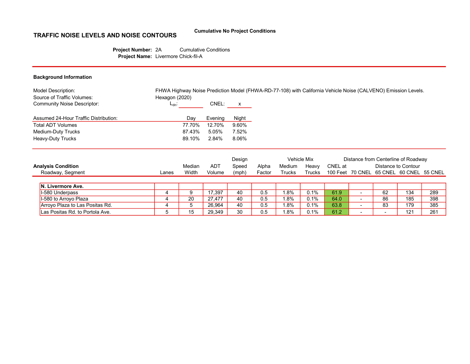#### Cumulative No Project Conditions

# TRAFFIC NOISE LEVELS AND NOISE CONTOURS

Project Number: 2A Cumulative Conditions Project Name: Livermore Chick-fil-A

| Model Description:                                               |                              |         |       | FHWA Highway Noise Prediction Model (FHWA-RD-77-108) with California Vehicle Noise (CALVENO) Emission Levels. |
|------------------------------------------------------------------|------------------------------|---------|-------|---------------------------------------------------------------------------------------------------------------|
| Source of Traffic Volumes:<br><b>Community Noise Descriptor:</b> | Hexagon (2020)<br>$L_{dn}$ : | CNEL:   | X     |                                                                                                               |
| Assumed 24-Hour Traffic Distribution:                            | Dav                          | Evening | Night |                                                                                                               |
| <b>Total ADT Volumes</b>                                         | 77.70%                       | 12.70%  | 9.60% |                                                                                                               |
| Medium-Duty Trucks                                               | 87.43%                       | 5.05%   | 7.52% |                                                                                                               |
| <b>Heavy-Duty Trucks</b>                                         | 89.10%                       | 2.84%   | 8.06% |                                                                                                               |
|                                                                  |                              |         |       |                                                                                                               |

|                                 |       |             |        | Design |        |               | Vehicle Mix |         |    | Distance from Centerline of Roadway      |     |
|---------------------------------|-------|-------------|--------|--------|--------|---------------|-------------|---------|----|------------------------------------------|-----|
| <b>Analysis Condition</b>       |       | Median      | ADT    | Speed  | Alpha  | Medium        | Heavy       | CNEL at |    | Distance to Contour                      |     |
| Roadway, Segment                | Lanes | Width       | Volume | (mph)  | Factor | <b>Trucks</b> | Trucks      |         |    | 100 Feet 70 CNEL 65 CNEL 60 CNEL 55 CNEL |     |
|                                 |       |             |        |        |        |               |             |         |    |                                          |     |
| IN. Livermore Ave.              |       |             |        |        |        |               |             |         |    |                                          |     |
| I-580 Underpass                 |       | 9           | 17.397 | 40     | 0.5    | $.8\%$        | 0.1%        | 61.9    | 62 | 134                                      | 289 |
| I-580 to Arroyo Plaza           |       | 20          | 27.477 | 40     | 0.5    | $.8\%$        | 0.1%        | 64.0    | 86 | 185                                      | 398 |
| Arroyo Plaza to Las Positas Rd. |       | $\mathbf b$ | 26.964 | 40     | 0.5    | . 8%          | 0.1%        | 63.8    | 83 | 179                                      | 385 |
| Las Positas Rd. to Portola Ave. |       | 15          | 29.349 | 30     | 0.5    | .8%           | 0.1%        | 61.2    | -  | 121                                      | 261 |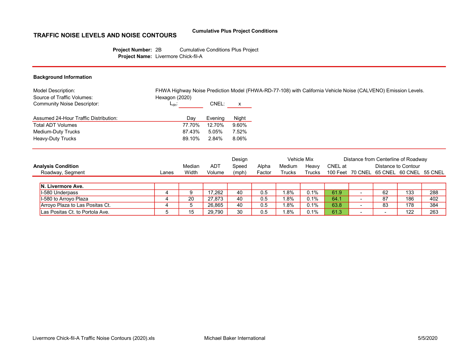#### Cumulative Plus Project Conditions

## TRAFFIC NOISE LEVELS AND NOISE CONTOURS

Project Number: 2B Cumulative Conditions Plus Project Project Name: Livermore Chick-fil-A

| Model Description:                                        | FHWA Highway Noise Prediction Model (FHWA-RD-77-108) with California Vehicle Noise (CALVENO) Emission Levels. |         |       |
|-----------------------------------------------------------|---------------------------------------------------------------------------------------------------------------|---------|-------|
| Source of Traffic Volumes:<br>Community Noise Descriptor: | Hexagon (2020)<br>$L_{dn}$ :                                                                                  | CNEL:   | X     |
| Assumed 24-Hour Traffic Distribution:                     | Day                                                                                                           | Evening | Night |
| <b>Total ADT Volumes</b>                                  | 77.70%                                                                                                        | 12.70%  | 9.60% |
| Medium-Duty Trucks                                        | 87.43%                                                                                                        | 5.05%   | 7.52% |
| <b>Heavy-Duty Trucks</b>                                  | 89.10%                                                                                                        | 2.84%   | 8.06% |
|                                                           |                                                                                                               |         |       |
|                                                           |                                                                                                               |         |       |

|                                 |       |             |            | Design |        |               | <b>Vehicle Mix</b> |         |     | Distance from Centerline of Roadway      |     |
|---------------------------------|-------|-------------|------------|--------|--------|---------------|--------------------|---------|-----|------------------------------------------|-----|
| <b>Analysis Condition</b>       |       | Median      | <b>ADT</b> | Speed  | Alpha  | Medium        | Heavy              | CNEL at |     | Distance to Contour                      |     |
| Roadway, Segment                | Lanes | Width       | Volume     | (mph)  | Factor | <b>Trucks</b> | Trucks             |         |     | 100 Feet 70 CNEL 65 CNEL 60 CNEL 55 CNEL |     |
|                                 |       |             |            |        |        |               |                    |         |     |                                          |     |
| IN. Livermore Ave.              |       |             |            |        |        |               |                    |         |     |                                          |     |
| I-580 Underpass                 |       |             | 17.262     | 40     | 0.5    | $.8\%$        | 0.1%               | 61.9    | 62  | 133                                      | 288 |
| I-580 to Arroyo Plaza           |       | 20          | 27.873     | 40     | 0.5    | $.8\%$        | 0.1%               | 64.     | 87  | 186                                      | 402 |
| Arroyo Plaza to Las Positas Ct. |       | $\mathbf b$ | 26.865     | 40     | 0.5    | . 8%          | 0.1%               | 63.8    | 83  | 178                                      | 384 |
| Las Positas Ct. to Portola Ave. |       | 15          | 29.790     | 30     | 0.5    | .8%           | 0.1%               | 61.3    | . . | 122                                      | 263 |